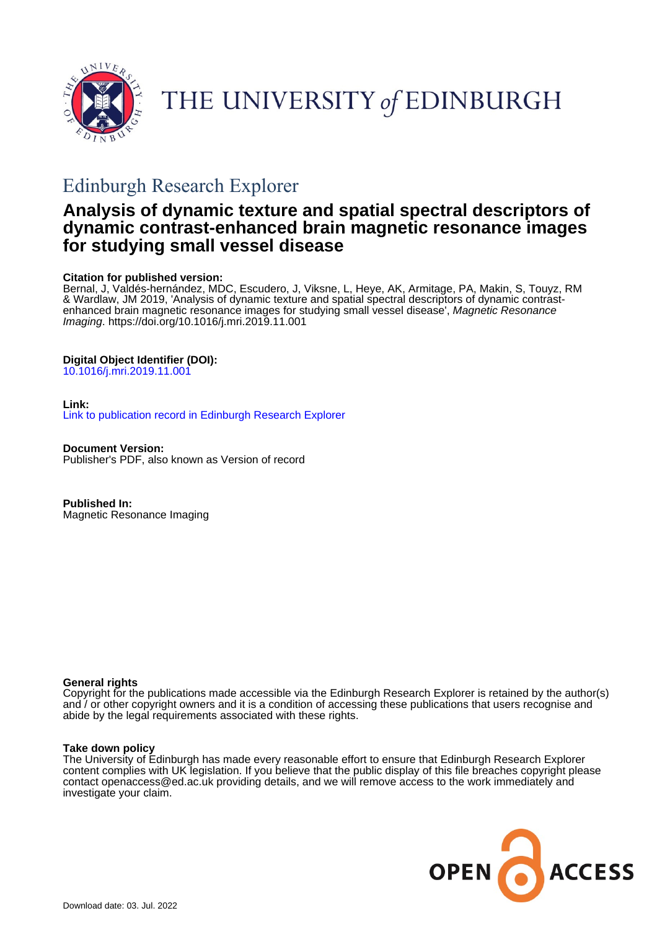

THE UNIVERSITY of EDINBURGH

# Edinburgh Research Explorer

# **Analysis of dynamic texture and spatial spectral descriptors of dynamic contrast-enhanced brain magnetic resonance images for studying small vessel disease**

## **Citation for published version:**

Bernal, J, Valdés-hernández, MDC, Escudero, J, Viksne, L, Heye, AK, Armitage, PA, Makin, S, Touyz, RM & Wardlaw, JM 2019, 'Analysis of dynamic texture and spatial spectral descriptors of dynamic contrastenhanced brain magnetic resonance images for studying small vessel disease', Magnetic Resonance Imaging.<https://doi.org/10.1016/j.mri.2019.11.001>

## **Digital Object Identifier (DOI):**

[10.1016/j.mri.2019.11.001](https://doi.org/10.1016/j.mri.2019.11.001)

## **Link:**

[Link to publication record in Edinburgh Research Explorer](https://www.research.ed.ac.uk/en/publications/367cc9c1-8c5a-4eb8-ac53-c4a2ffd05608)

**Document Version:** Publisher's PDF, also known as Version of record

**Published In:** Magnetic Resonance Imaging

## **General rights**

Copyright for the publications made accessible via the Edinburgh Research Explorer is retained by the author(s) and / or other copyright owners and it is a condition of accessing these publications that users recognise and abide by the legal requirements associated with these rights.

## **Take down policy**

The University of Edinburgh has made every reasonable effort to ensure that Edinburgh Research Explorer content complies with UK legislation. If you believe that the public display of this file breaches copyright please contact openaccess@ed.ac.uk providing details, and we will remove access to the work immediately and investigate your claim.

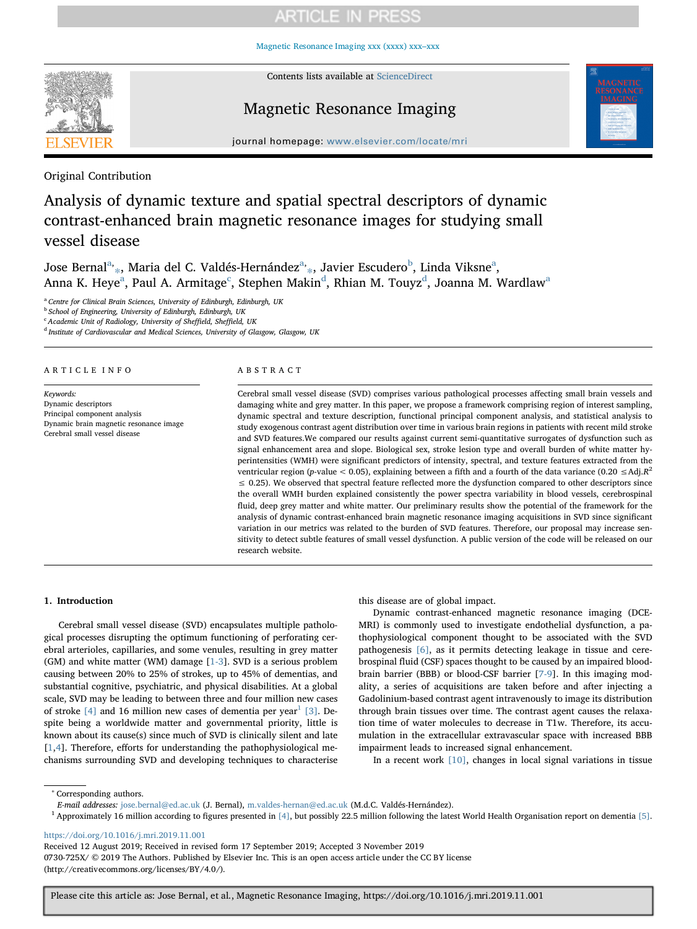# **ARTICLE IN PRESS**

[Magnetic Resonance Imaging xxx \(xxxx\) xxx–xxx](https://doi.org/10.1016/j.mri.2019.11.001)



Contents lists available at [ScienceDirect](http://www.sciencedirect.com/science/journal/0730725X)

# Magnetic Resonance Imaging



journal homepage: [www.elsevier.com/locate/mri](https://www.elsevier.com/locate/mri)

Original Contribution

# Analysis of dynamic texture and spatial spectral descriptors of dynamic contrast-enhanced brain magnetic resonance images for studying small vessel disease

Jose Bern[a](#page-1-0)l $^{\rm a}$ <su[b](#page-1-2)>\*</sub>, Maria del C. Valdés-Hernández $^{\rm a}$ <sub>\*</sub>, Javier Escudero $^{\rm b}$ , Linda Viksne $^{\rm a}$ , Ann[a](#page-1-0) K. Heye $^{\rm a}$ , Paul A. Armitage $^{\rm c}$  $^{\rm c}$  $^{\rm c}$ , Stephen Makin $^{\rm d}$  $^{\rm d}$  $^{\rm d}$ , Rhian M. Touyz $^{\rm d}$ , Joanna M. Wardlaw $^{\rm a}$ 

<span id="page-1-0"></span><sup>a</sup> Centre for Clinical Brain Sciences, University of Edinburgh, Edinburgh, UK

<span id="page-1-2"></span><sup>b</sup> School of Engineering, University of Edinburgh, Edinburgh, UK

<span id="page-1-3"></span><sup>c</sup> Academic Unit of Radiology, University of Sheffield, Sheffield, UK

<span id="page-1-4"></span><sup>d</sup> Institute of Cardiovascular and Medical Sciences, University of Glasgow, Glasgow, UK

#### ARTICLE INFO

Keywords: Dynamic descriptors Principal component analysis Dynamic brain magnetic resonance image Cerebral small vessel disease

#### ABSTRACT

Cerebral small vessel disease (SVD) comprises various pathological processes affecting small brain vessels and damaging white and grey matter. In this paper, we propose a framework comprising region of interest sampling, dynamic spectral and texture description, functional principal component analysis, and statistical analysis to study exogenous contrast agent distribution over time in various brain regions in patients with recent mild stroke and SVD features.We compared our results against current semi-quantitative surrogates of dysfunction such as signal enhancement area and slope. Biological sex, stroke lesion type and overall burden of white matter hyperintensities (WMH) were significant predictors of intensity, spectral, and texture features extracted from the ventricular region (p-value < 0.05), explaining between a fifth and a fourth of the data variance (0.20  $\leq$ Adj. $R^2$  $\leq$  0.25). We observed that spectral feature reflected more the dysfunction compared to other descriptors since the overall WMH burden explained consistently the power spectra variability in blood vessels, cerebrospinal fluid, deep grey matter and white matter. Our preliminary results show the potential of the framework for the analysis of dynamic contrast-enhanced brain magnetic resonance imaging acquisitions in SVD since significant variation in our metrics was related to the burden of SVD features. Therefore, our proposal may increase sensitivity to detect subtle features of small vessel dysfunction. A public version of the code will be released on our research website.

### 1. Introduction

Cerebral small vessel disease (SVD) encapsulates multiple pathological processes disrupting the optimum functioning of perforating cerebral arterioles, capillaries, and some venules, resulting in grey matter (GM) and white matter (WM) damage [[1-3](#page-8-0)]. SVD is a serious problem causing between 20% to 25% of strokes, up to 45% of dementias, and substantial cognitive, psychiatric, and physical disabilities. At a global scale, SVD may be leading to between three and four million new cases of stroke  $[4]$  and [1](#page-1-5)6 million new cases of dementia per year<sup>1</sup>  $[3]$ . Despite being a worldwide matter and governmental priority, little is known about its cause(s) since much of SVD is clinically silent and late [[1](#page-8-0),[4](#page-8-1)]. Therefore, efforts for understanding the pathophysiological mechanisms surrounding SVD and developing techniques to characterise this disease are of global impact.

Dynamic contrast-enhanced magnetic resonance imaging (DCE-MRI) is commonly used to investigate endothelial dysfunction, a pathophysiological component thought to be associated with the SVD pathogenesis [\[6\],](#page-8-3) as it permits detecting leakage in tissue and cerebrospinal fluid (CSF) spaces thought to be caused by an impaired bloodbrain barrier (BBB) or blood-CSF barrier [[7-9](#page-8-4)]. In this imaging modality, a series of acquisitions are taken before and after injecting a Gadolinium-based contrast agent intravenously to image its distribution through brain tissues over time. The contrast agent causes the relaxation time of water molecules to decrease in T1w. Therefore, its accumulation in the extracellular extravascular space with increased BBB impairment leads to increased signal enhancement.

In a recent work [\[10\],](#page-8-5) changes in local signal variations in tissue

<span id="page-1-1"></span><sup>∗</sup> Corresponding authors.

E-mail addresses: [jose.bernal@ed.ac.uk](mailto:jose.bernal@ed.ac.uk) (J. Bernal), [m.valdes-hernan@ed.ac.uk](mailto:m.valdes-hernan@ed.ac.uk) (M.d.C. Valdés-Hernández).

<https://doi.org/10.1016/j.mri.2019.11.001>

Received 12 August 2019; Received in revised form 17 September 2019; Accepted 3 November 2019 0730-725X/ © 2019 The Authors. Published by Elsevier Inc. This is an open access article under the CC BY license (http://creativecommons.org/licenses/BY/4.0/).

<span id="page-1-5"></span> $^1$  Approximately 16 million according to figures presented in [\[4\],](#page-8-1) but possibly 22.5 million following the latest World Health Organisation report on dementia [\[5\].](#page-8-6)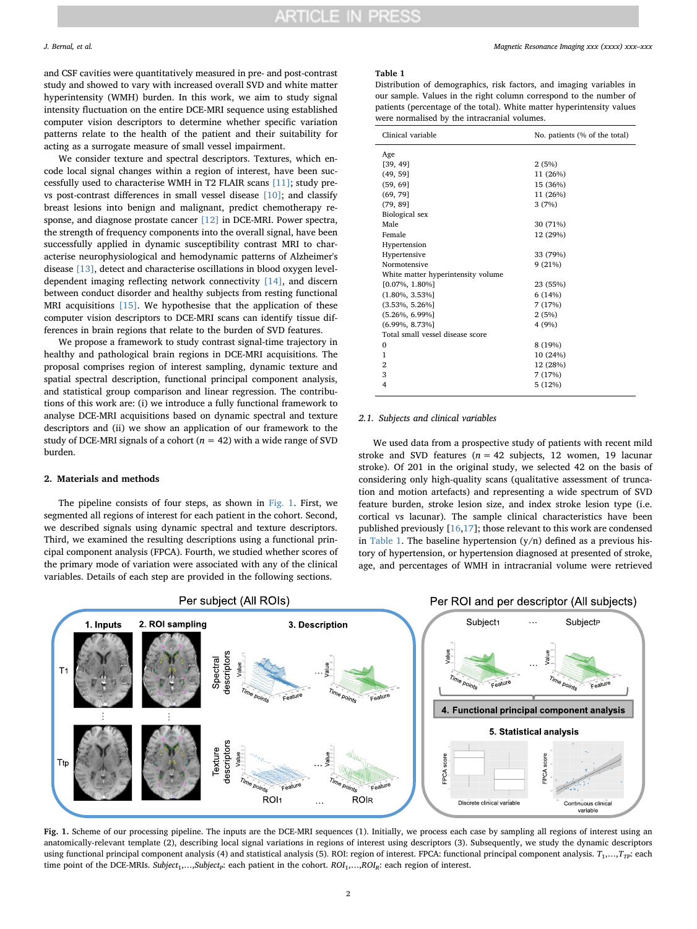<span id="page-2-1"></span>Table 1

and CSF cavities were quantitatively measured in pre- and post-contrast study and showed to vary with increased overall SVD and white matter hyperintensity (WMH) burden. In this work, we aim to study signal intensity fluctuation on the entire DCE-MRI sequence using established computer vision descriptors to determine whether specific variation patterns relate to the health of the patient and their suitability for acting as a surrogate measure of small vessel impairment.

We consider texture and spectral descriptors. Textures, which encode local signal changes within a region of interest, have been successfully used to characterise WMH in T2 FLAIR scans [\[11\]](#page-8-7); study prevs post-contrast differences in small vessel disease [\[10\];](#page-8-5) and classify breast lesions into benign and malignant, predict chemotherapy response, and diagnose prostate cancer [\[12\]](#page-8-8) in DCE-MRI. Power spectra, the strength of frequency components into the overall signal, have been successfully applied in dynamic susceptibility contrast MRI to characterise neurophysiological and hemodynamic patterns of Alzheimer's disease [\[13\],](#page-8-9) detect and characterise oscillations in blood oxygen leveldependent imaging reflecting network connectivity [\[14\]](#page-8-10), and discern between conduct disorder and healthy subjects from resting functional MRI acquisitions [\[15\]](#page-8-11). We hypothesise that the application of these computer vision descriptors to DCE-MRI scans can identify tissue differences in brain regions that relate to the burden of SVD features.

We propose a framework to study contrast signal-time trajectory in healthy and pathological brain regions in DCE-MRI acquisitions. The proposal comprises region of interest sampling, dynamic texture and spatial spectral description, functional principal component analysis, and statistical group comparison and linear regression. The contributions of this work are: (i) we introduce a fully functional framework to analyse DCE-MRI acquisitions based on dynamic spectral and texture descriptors and (ii) we show an application of our framework to the study of DCE-MRI signals of a cohort ( $n = 42$ ) with a wide range of SVD burden.

#### 2. Materials and methods

The pipeline consists of four steps, as shown in [Fig. 1](#page-2-0). First, we segmented all regions of interest for each patient in the cohort. Second, we described signals using dynamic spectral and texture descriptors. Third, we examined the resulting descriptions using a functional principal component analysis (FPCA). Fourth, we studied whether scores of the primary mode of variation were associated with any of the clinical variables. Details of each step are provided in the following sections.

Distribution of demographics, risk factors, and imaging variables in our sample. Values in the right column correspond to the number of patients (percentage of the total). White matter hyperintensity values were normalised by the intracranial volumes.

| Clinical variable                  | No. patients (% of the total) |
|------------------------------------|-------------------------------|
| Age                                |                               |
| [39, 49]                           | 2(5%)                         |
| (49, 59]                           | 11 (26%)                      |
| (59, 69)                           | 15 (36%)                      |
| (69, 79]                           | 11 (26%)                      |
| (79, 89]                           | 3(7%)                         |
| Biological sex                     |                               |
| Male                               | 30 (71%)                      |
| Female                             | 12 (29%)                      |
| Hypertension                       |                               |
| Hypertensive                       | 33 (79%)                      |
| Normotensive                       | 9(21%)                        |
| White matter hyperintensity volume |                               |
| $[0.07\%, 1.80\%]$                 | 23 (55%)                      |
| $(1.80\%, 3.53\%]$                 | 6(14%)                        |
| $(3.53\%, 5.26\%)$                 | 7 (17%)                       |
| $(5.26\%, 6.99\%]$                 | 2(5%)                         |
| $(6.99\%, 8.73\%]$                 | 4 (9%)                        |
| Total small vessel disease score   |                               |
| $\Omega$                           | 8 (19%)                       |
| 1                                  | 10 (24%)                      |
| $\overline{2}$                     | 12 (28%)                      |
| 3                                  | 7(17%)                        |
| $\overline{4}$                     | 5(12%)                        |
|                                    |                               |

#### 2.1. Subjects and clinical variables

We used data from a prospective study of patients with recent mild stroke and SVD features ( $n = 42$  subjects, 12 women, 19 lacunar stroke). Of 201 in the original study, we selected 42 on the basis of considering only high-quality scans (qualitative assessment of truncation and motion artefacts) and representing a wide spectrum of SVD feature burden, stroke lesion size, and index stroke lesion type (i.e. cortical vs lacunar). The sample clinical characteristics have been published previously [[16](#page-8-12)[,17](#page-8-13)]; those relevant to this work are condensed in [Table 1](#page-2-1). The baseline hypertension  $(y/n)$  defined as a previous history of hypertension, or hypertension diagnosed at presented of stroke, age, and percentages of WMH in intracranial volume were retrieved

<span id="page-2-0"></span>

Fig. 1. Scheme of our processing pipeline. The inputs are the DCE-MRI sequences (1). Initially, we process each case by sampling all regions of interest using an anatomically-relevant template (2), describing local signal variations in regions of interest using descriptors (3). Subsequently, we study the dynamic descriptors using functional principal component analysis (4) and statistical analysis (5). ROI: region of interest. FPCA: functional principal component analysis.  $T_1,...,T_{T_P}$ : each time point of the DCE-MRIs. Subject<sub>1</sub>,...,Subject<sub>p</sub>: each patient in the cohort.  $ROI_1$ ,..., $ROI_R$ : each region of interest.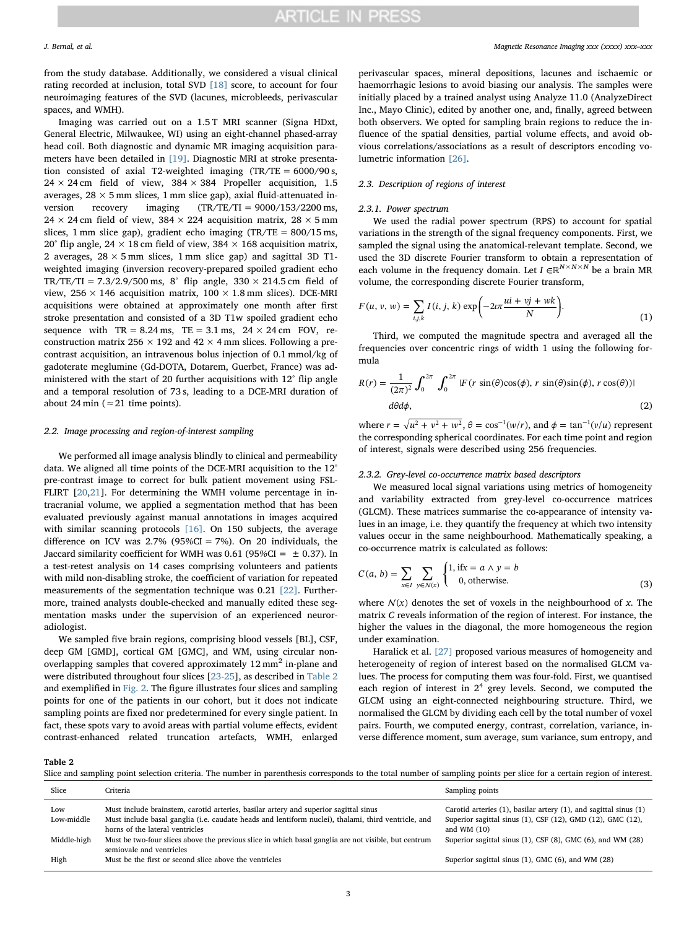from the study database. Additionally, we considered a visual clinical rating recorded at inclusion, total SVD [\[18\]](#page-8-14) score, to account for four neuroimaging features of the SVD (lacunes, microbleeds, perivascular spaces, and WMH).

Imaging was carried out on a 1.5 T MRI scanner (Signa HDxt, General Electric, Milwaukee, WI) using an eight-channel phased-array head coil. Both diagnostic and dynamic MR imaging acquisition parameters have been detailed in [\[19\].](#page-8-15) Diagnostic MRI at stroke presentation consisted of axial T2-weighted imaging  $(TR/TE = 6000/90 s,$  $24 \times 24$  cm field of view,  $384 \times 384$  Propeller acquisition, 1.5 averages,  $28 \times 5$  mm slices, 1 mm slice gap), axial fluid-attenuated inversion recovery imaging  $(TR/TE/TI = 9000/153/2200 \text{ ms})$ .  $24 \times 24$  cm field of view,  $384 \times 224$  acquisition matrix,  $28 \times 5$  mm slices, 1 mm slice gap), gradient echo imaging  $(TR/TE = 800/15 \text{ ms})$ , 20° flip angle, 24  $\times$  18 cm field of view, 384  $\times$  168 acquisition matrix, 2 averages,  $28 \times 5$  mm slices, 1 mm slice gap) and sagittal 3D T1weighted imaging (inversion recovery-prepared spoiled gradient echo TR/TE/TI =  $7.3/2.9/500$  ms, 8° flip angle,  $330 \times 214.5$  cm field of view,  $256 \times 146$  acquisition matrix,  $100 \times 1.8$  mm slices). DCE-MRI acquisitions were obtained at approximately one month after first stroke presentation and consisted of a 3D T1w spoiled gradient echo sequence with  $TR = 8.24$  ms,  $TE = 3.1$  ms,  $24 \times 24$  cm FOV, reconstruction matrix 256  $\times$  192 and 42  $\times$  4 mm slices. Following a precontrast acquisition, an intravenous bolus injection of 0.1 mmol/kg of gadoterate meglumine (Gd-DOTA, Dotarem, Guerbet, France) was administered with the start of 20 further acquisitions with 12° flip angle and a temporal resolution of 73 s, leading to a DCE-MRI duration of about 24 min ( $\approx$  21 time points).

#### <span id="page-3-1"></span>2.2. Image processing and region-of-interest sampling

We performed all image analysis blindly to clinical and permeability data. We aligned all time points of the DCE-MRI acquisition to the 12° pre-contrast image to correct for bulk patient movement using FSL-FLIRT [[20,](#page-8-16)[21](#page-8-17)]. For determining the WMH volume percentage in intracranial volume, we applied a segmentation method that has been evaluated previously against manual annotations in images acquired with similar scanning protocols [\[16\]](#page-8-12). On 150 subjects, the average difference on ICV was 2.7% (95%CI = 7%). On 20 individuals, the Jaccard similarity coefficient for WMH was 0.61 (95%CI =  $\pm$  0.37). In a test-retest analysis on 14 cases comprising volunteers and patients with mild non-disabling stroke, the coefficient of variation for repeated measurements of the segmentation technique was 0.21 [\[22\].](#page-8-18) Furthermore, trained analysts double-checked and manually edited these segmentation masks under the supervision of an experienced neuroradiologist.

We sampled five brain regions, comprising blood vessels [BL], CSF, deep GM [GMD], cortical GM [GMC], and WM, using circular nonoverlapping samples that covered approximately 12 mm<sup>2</sup> in-plane and were distributed throughout four slices [\[23-25\]](#page-8-19), as described in [Table 2](#page-3-0) and exemplified in [Fig. 2.](#page-4-0) The figure illustrates four slices and sampling points for one of the patients in our cohort, but it does not indicate sampling points are fixed nor predetermined for every single patient. In fact, these spots vary to avoid areas with partial volume effects, evident contrast-enhanced related truncation artefacts, WMH, enlarged

perivascular spaces, mineral depositions, lacunes and ischaemic or haemorrhagic lesions to avoid biasing our analysis. The samples were initially placed by a trained analyst using Analyze 11.0 (AnalyzeDirect Inc., Mayo Clinic), edited by another one, and, finally, agreed between both observers. We opted for sampling brain regions to reduce the influence of the spatial densities, partial volume effects, and avoid obvious correlations/associations as a result of descriptors encoding volumetric information [\[26\].](#page-8-20)

#### 2.3. Description of regions of interest

#### 2.3.1. Power spectrum

We used the radial power spectrum (RPS) to account for spatial variations in the strength of the signal frequency components. First, we sampled the signal using the anatomical-relevant template. Second, we used the 3D discrete Fourier transform to obtain a representation of each volume in the frequency domain. Let  $I \in \mathbb{R}^{N \times N \times N}$  be a brain MR volume, the corresponding discrete Fourier transform,

$$
F(u, v, w) = \sum_{i,j,k} I(i, j, k) \exp\left(-2i\pi \frac{ui + vj + wk}{N}\right).
$$
 (1)

Third, we computed the magnitude spectra and averaged all the frequencies over concentric rings of width 1 using the following formula

$$
R(r) = \frac{1}{(2\pi)^2} \int_0^{2\pi} \int_0^{2\pi} |F(r\sin(\theta)\cos(\phi), r\sin(\theta)\sin(\phi), r\cos(\theta))|
$$
  

$$
d\theta d\phi,
$$
 (2)

where  $r = \sqrt{u^2 + v^2 + w^2}$ ,  $\theta = \cos^{-1}(w/r)$ , and  $\phi = \tan^{-1}(v/u)$  represent the corresponding spherical coordinates. For each time point and region of interest, signals were described using 256 frequencies.

#### 2.3.2. Grey-level co-occurrence matrix based descriptors

We measured local signal variations using metrics of homogeneity and variability extracted from grey-level co-occurrence matrices (GLCM). These matrices summarise the co-appearance of intensity values in an image, i.e. they quantify the frequency at which two intensity values occur in the same neighbourhood. Mathematically speaking, a co-occurrence matrix is calculated as follows:

$$
C(a, b) = \sum_{x \in I} \sum_{y \in N(x)} \begin{cases} 1, & \text{if } x = a \land y = b \\ 0, & \text{otherwise.} \end{cases}
$$
 (3)

where  $N(x)$  denotes the set of voxels in the neighbourhood of x. The matrix C reveals information of the region of interest. For instance, the higher the values in the diagonal, the more homogeneous the region under examination.

Haralick et al. [\[27\]](#page-8-21) proposed various measures of homogeneity and heterogeneity of region of interest based on the normalised GLCM values. The process for computing them was four-fold. First, we quantised each region of interest in  $2<sup>4</sup>$  grey levels. Second, we computed the GLCM using an eight-connected neighbouring structure. Third, we normalised the GLCM by dividing each cell by the total number of voxel pairs. Fourth, we computed energy, contrast, correlation, variance, inverse difference moment, sum average, sum variance, sum entropy, and

<span id="page-3-0"></span>Table 2

Slice and sampling point selection criteria. The number in parenthesis corresponds to the total number of sampling points per slice for a certain region of interest.

| Slice             | Criteria                                                                                                                                                                                    | Sampling points                                                                                                                        |
|-------------------|---------------------------------------------------------------------------------------------------------------------------------------------------------------------------------------------|----------------------------------------------------------------------------------------------------------------------------------------|
| Low<br>Low-middle | Must include brainstem, carotid arteries, basilar artery and superior sagittal sinus<br>Must include basal ganglia (i.e. caudate heads and lentiform nuclei), thalami, third ventricle, and | Carotid arteries $(1)$ , basilar artery $(1)$ , and sagittal sinus $(1)$<br>Superior sagittal sinus (1), CSF (12), GMD (12), GMC (12), |
|                   | horns of the lateral ventricles                                                                                                                                                             | and WM $(10)$                                                                                                                          |
| Middle-high       | Must be two-four slices above the previous slice in which basal ganglia are not visible, but centrum<br>semiovale and ventricles                                                            | Superior sagittal sinus (1), CSF (8), GMC (6), and WM (28)                                                                             |
| High              | Must be the first or second slice above the ventricles                                                                                                                                      | Superior sagittal sinus (1), GMC (6), and WM (28)                                                                                      |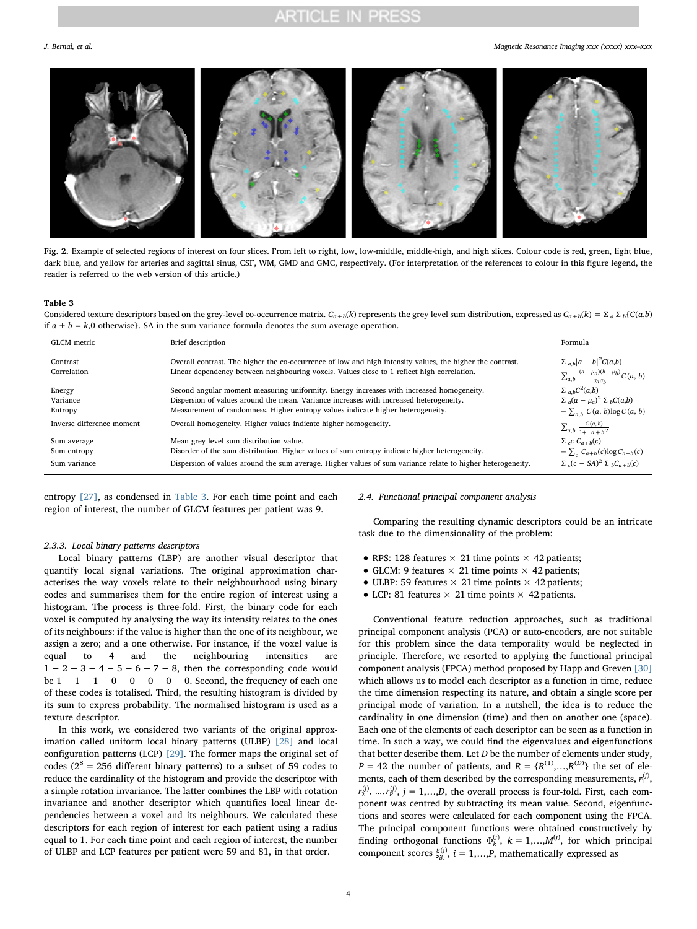# ARTICLE IN PRESS

#### J. Bernal, et al. *Magnetic Resonance Imaging xxx (xxxx) xxx–xxx*

<span id="page-4-0"></span>

Fig. 2. Example of selected regions of interest on four slices. From left to right, low, low-middle, middle-high, and high slices. Colour code is red, green, light blue, dark blue, and yellow for arteries and sagittal sinus, CSF, WM, GMD and GMC, respectively. (For interpretation of the references to colour in this figure legend, the reader is referred to the web version of this article.)

#### <span id="page-4-1"></span>Table 3

Considered texture descriptors based on the grey-level co-occurrence matrix.  $C_{a+b}(k)$  represents the grey level sum distribution, expressed as  $C_{a+b}(k) = \sum_a \sum_b \{C(a,b)\}$ if  $a + b = k,0$  otherwise}. SA in the sum variance formula denotes the sum average operation.

| GLCM metric               | Brief description                                                                                                                                                                                       | Formula                                                                                          |
|---------------------------|---------------------------------------------------------------------------------------------------------------------------------------------------------------------------------------------------------|--------------------------------------------------------------------------------------------------|
| Contrast<br>Correlation   | Overall contrast. The higher the co-occurrence of low and high intensity values, the higher the contrast.<br>Linear dependency between neighbouring voxels. Values close to 1 reflect high correlation. | $\sum_{a,b}  a-b ^2 C(a,b)$<br>$\sum_{a,b} \frac{(a-\mu_a)(b-\mu_b)}{\sigma_a \sigma_b} C(a, b)$ |
| Energy                    | Second angular moment measuring uniformity. Energy increases with increased homogeneity.                                                                                                                | $\sum_{a,b} C^2(a,b)$                                                                            |
| Variance                  | Dispersion of values around the mean. Variance increases with increased heterogeneity.                                                                                                                  | $\sum_a (a - \mu_a)^2 \sum_b C(a,b)$                                                             |
| Entropy                   | Measurement of randomness. Higher entropy values indicate higher heterogeneity.                                                                                                                         | $-\sum_{a,b} C(a,b) \log C(a,b)$                                                                 |
| Inverse difference moment | Overall homogeneity. Higher values indicate higher homogeneity.                                                                                                                                         | $\sum_{a,b} \frac{C(a,b)}{1+ a+b ^2}$                                                            |
| Sum average               | Mean grey level sum distribution value.                                                                                                                                                                 | $\sum_{c} C C_{a+b}(c)$                                                                          |
| Sum entropy               | Disorder of the sum distribution. Higher values of sum entropy indicate higher heterogeneity.                                                                                                           | $-\sum_{c} C_{a+b}(c) \log C_{a+b}(c)$                                                           |
| Sum variance              | Dispersion of values around the sum average. Higher values of sum variance relate to higher heterogeneity.                                                                                              | $\sum_{c}(c - SA)^2 \sum_{b} C_{a+b}(c)$                                                         |

entropy [\[27\],](#page-8-21) as condensed in [Table 3](#page-4-1). For each time point and each region of interest, the number of GLCM features per patient was 9.

#### 2.3.3. Local binary patterns descriptors

Local binary patterns (LBP) are another visual descriptor that quantify local signal variations. The original approximation characterises the way voxels relate to their neighbourhood using binary codes and summarises them for the entire region of interest using a histogram. The process is three-fold. First, the binary code for each voxel is computed by analysing the way its intensity relates to the ones of its neighbours: if the value is higher than the one of its neighbour, we assign a zero; and a one otherwise. For instance, if the voxel value is equal to 4 and the neighbouring intensities are  $1 - 2 - 3 - 4 - 5 - 6 - 7 - 8$ , then the corresponding code would be  $1 - 1 - 1 - 0 - 0 - 0 - 0 - 0$ . Second, the frequency of each one of these codes is totalised. Third, the resulting histogram is divided by its sum to express probability. The normalised histogram is used as a texture descriptor.

In this work, we considered two variants of the original approximation called uniform local binary patterns (ULBP) [\[28\]](#page-8-22) and local configuration patterns (LCP) [\[29\]](#page-8-23). The former maps the original set of codes ( $2^8$  = 256 different binary patterns) to a subset of 59 codes to reduce the cardinality of the histogram and provide the descriptor with a simple rotation invariance. The latter combines the LBP with rotation invariance and another descriptor which quantifies local linear dependencies between a voxel and its neighbours. We calculated these descriptors for each region of interest for each patient using a radius equal to 1. For each time point and each region of interest, the number of ULBP and LCP features per patient were 59 and 81, in that order.

2.4. Functional principal component analysis

Comparing the resulting dynamic descriptors could be an intricate task due to the dimensionality of the problem:

- RPS: 128 features  $\times$  21 time points  $\times$  42 patients;
- GLCM: 9 features  $\times$  21 time points  $\times$  42 patients;
- ULBP: 59 features  $\times$  21 time points  $\times$  42 patients;
- LCP: 81 features  $\times$  21 time points  $\times$  42 patients.

Conventional feature reduction approaches, such as traditional principal component analysis (PCA) or auto-encoders, are not suitable for this problem since the data temporality would be neglected in principle. Therefore, we resorted to applying the functional principal component analysis (FPCA) method proposed by Happ and Greven [\[30\]](#page-8-24) which allows us to model each descriptor as a function in time, reduce the time dimension respecting its nature, and obtain a single score per principal mode of variation. In a nutshell, the idea is to reduce the cardinality in one dimension (time) and then on another one (space). Each one of the elements of each descriptor can be seen as a function in time. In such a way, we could find the eigenvalues and eigenfunctions that better describe them. Let  $D$  be the number of elements under study,  $P = 42$  the number of patients, and  $R = \{R^{(1)},...,R^{(D)}\}$  the set of elements, each of them described by the corresponding measurements,  $r_1^{(j)}$ ,  $r_2^{(j)}$ , ..., $r_P^{(j)}$ ,  $j = 1,...,D$ , the overall process is four-fold. First, each component was centred by subtracting its mean value. Second, eigenfunctions and scores were calculated for each component using the FPCA. The principal component functions were obtained constructively by finding orthogonal functions  $\Phi_k^{(j)}$ ,  $k = 1,...,M^{(j)}$ , for which principal component scores  $\xi_{ik}^{(j)}$ ,  $i = 1,...,P$ , mathematically expressed as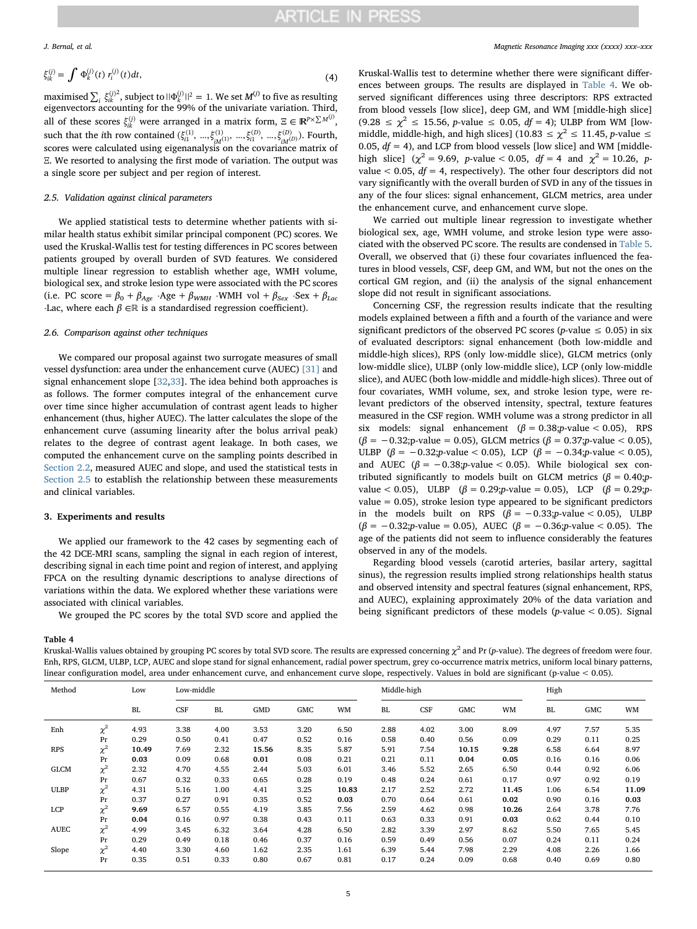$$
\xi_{ik}^{(j)} = \int \Phi_k^{(j)}(t) \, r_i^{(j)}(t) \, dt,\tag{4}
$$

maximised  $\sum_i \xi_{ik}^{(j)2}$ , subject to  $||\Phi_k^{(j)}||^2 = 1$ . We set  $M^{(j)}$  to five as resulting eigenvectors accounting for the 99% of the univariate variation. Third, all of these scores  $\xi_{ik}^{(j)}$  were arranged in a matrix form,  $\Xi \in \mathbb{R}^{P \times \sum M^{(j)}}$ , such that the *i*th row contained ( $\xi_{i1}^{(1)}, ..., \xi_{iM}^{(1)}, ..., \xi_{i1}^{(D)}, ..., \xi_{iM}^{(D)}$ ). Fourth, scores were calculated using eigenanalysis on the covariance matrix of Ξ. We resorted to analysing the first mode of variation. The output was a single score per subject and per region of interest.

#### <span id="page-5-0"></span>2.5. Validation against clinical parameters

We applied statistical tests to determine whether patients with similar health status exhibit similar principal component (PC) scores. We used the Kruskal-Wallis test for testing differences in PC scores between patients grouped by overall burden of SVD features. We considered multiple linear regression to establish whether age, WMH volume, biological sex, and stroke lesion type were associated with the PC scores (i.e. PC score =  $\beta_0 + \beta_{Age} \cdot Age + \beta_{WMH} \cdot WMH$  vol +  $\beta_{Sex} \cdot Sex + \beta_{Lac}$  $\cdot$ Lac, where each  $\beta$  ∈ℝ is a standardised regression coefficient).

#### 2.6. Comparison against other techniques

We compared our proposal against two surrogate measures of small vessel dysfunction: area under the enhancement curve (AUEC) [\[31\]](#page-8-25) and signal enhancement slope [\[32](#page-8-26),[33](#page-8-27)]. The idea behind both approaches is as follows. The former computes integral of the enhancement curve over time since higher accumulation of contrast agent leads to higher enhancement (thus, higher AUEC). The latter calculates the slope of the enhancement curve (assuming linearity after the bolus arrival peak) relates to the degree of contrast agent leakage. In both cases, we computed the enhancement curve on the sampling points described in [Section 2.2](#page-3-1), measured AUEC and slope, and used the statistical tests in [Section 2.5](#page-5-0) to establish the relationship between these measurements and clinical variables.

#### 3. Experiments and results

We applied our framework to the 42 cases by segmenting each of the 42 DCE-MRI scans, sampling the signal in each region of interest, describing signal in each time point and region of interest, and applying FPCA on the resulting dynamic descriptions to analyse directions of variations within the data. We explored whether these variations were associated with clinical variables.

We grouped the PC scores by the total SVD score and applied the

Kruskal-Wallis test to determine whether there were significant differences between groups. The results are displayed in [Table 4.](#page-5-1) We observed significant differences using three descriptors: RPS extracted from blood vessels [low slice], deep GM, and WM [middle-high slice]  $(9.28 \le \chi^2 \le 15.56, p-value \le 0.05, df = 4)$ ; ULBP from WM [lowmiddle, middle-high, and high slices] (10.83  $\leq \chi^2 \leq 11.45$ , *p*-value  $\leq$ 0.05,  $df = 4$ ), and LCP from blood vessels [low slice] and WM [middlehigh slice] ( $\chi^2$  = 9.69, p-value < 0.05, df = 4 and  $\chi^2$  = 10.26, pvalue  $<$  0.05,  $df = 4$ , respectively). The other four descriptors did not vary significantly with the overall burden of SVD in any of the tissues in any of the four slices: signal enhancement, GLCM metrics, area under the enhancement curve, and enhancement curve slope.

We carried out multiple linear regression to investigate whether biological sex, age, WMH volume, and stroke lesion type were associated with the observed PC score. The results are condensed in [Table 5](#page-6-0). Overall, we observed that (i) these four covariates influenced the features in blood vessels, CSF, deep GM, and WM, but not the ones on the cortical GM region, and (ii) the analysis of the signal enhancement slope did not result in significant associations.

Concerning CSF, the regression results indicate that the resulting models explained between a fifth and a fourth of the variance and were significant predictors of the observed PC scores (*p*-value  $\leq$  0.05) in six of evaluated descriptors: signal enhancement (both low-middle and middle-high slices), RPS (only low-middle slice), GLCM metrics (only low-middle slice), ULBP (only low-middle slice), LCP (only low-middle slice), and AUEC (both low-middle and middle-high slices). Three out of four covariates, WMH volume, sex, and stroke lesion type, were relevant predictors of the observed intensity, spectral, texture features measured in the CSF region. WMH volume was a strong predictor in all six models: signal enhancement ( $\beta = 0.38$ ; *p*-value < 0.05), RPS  $(\beta = -0.32; p-value = 0.05)$ , GLCM metrics  $(\beta = 0.37; p-value < 0.05)$ , ULBP ( $\beta = -0.32$ ; p-value < 0.05), LCP ( $\beta = -0.34$ ; p-value < 0.05), and AUEC ( $\beta = -0.38$ ; *p*-value < 0.05). While biological sex contributed significantly to models built on GLCM metrics ( $\beta = 0.40$ ;*p*value < 0.05), ULBP ( $\beta = 0.29$ ; p-value = 0.05), LCP ( $\beta = 0.29$ ; pvalue  $= 0.05$ ), stroke lesion type appeared to be significant predictors in the models built on RPS ( $\beta = -0.33$ ; p-value < 0.05), ULBP  $(\beta = -0.32; p\text{-value} = 0.05)$ , AUEC  $(\beta = -0.36; p\text{-value} < 0.05)$ . The age of the patients did not seem to influence considerably the features observed in any of the models.

Regarding blood vessels (carotid arteries, basilar artery, sagittal sinus), the regression results implied strong relationships health status and observed intensity and spectral features (signal enhancement, RPS, and AUEC), explaining approximately 20% of the data variation and being significant predictors of these models (p-value < 0.05). Signal

#### <span id="page-5-1"></span>Table 4

Kruskal-Wallis values obtained by grouping PC scores by total SVD score. The results are expressed concerning  $\chi^2$  and Pr (p-value). The degrees of freedom were four. Enh, RPS, GLCM, ULBP, LCP, AUEC and slope stand for signal enhancement, radial power spectrum, grey co-occurrence matrix metrics, uniform local binary patterns, linear configuration model, area under enhancement curve, and enhancement curve slope, respectively. Values in bold are significant (p-value < 0.05).

| Method      |          | Low   | Low-middle |      |            |      |       | Middle-high |      |            |           | High |      |       |  |
|-------------|----------|-------|------------|------|------------|------|-------|-------------|------|------------|-----------|------|------|-------|--|
|             |          | BL    | CSF        | BL   | <b>GMD</b> | GMC  | WM    | BL.         | CSF  | <b>GMC</b> | <b>WM</b> | BL.  | GMC  | WM    |  |
| Enh         | $\chi^2$ | 4.93  | 3.38       | 4.00 | 3.53       | 3.20 | 6.50  | 2.88        | 4.02 | 3.00       | 8.09      | 4.97 | 7.57 | 5.35  |  |
|             | Pr       | 0.29  | 0.50       | 0.41 | 0.47       | 0.52 | 0.16  | 0.58        | 0.40 | 0.56       | 0.09      | 0.29 | 0.11 | 0.25  |  |
| <b>RPS</b>  | $\chi^2$ | 10.49 | 7.69       | 2.32 | 15.56      | 8.35 | 5.87  | 5.91        | 7.54 | 10.15      | 9.28      | 6.58 | 6.64 | 8.97  |  |
|             | Pr       | 0.03  | 0.09       | 0.68 | 0.01       | 0.08 | 0.21  | 0.21        | 0.11 | 0.04       | 0.05      | 0.16 | 0.16 | 0.06  |  |
| <b>GLCM</b> | $\chi^2$ | 2.32  | 4.70       | 4.55 | 2.44       | 5.03 | 6.01  | 3.46        | 5.52 | 2.65       | 6.50      | 0.44 | 0.92 | 6.06  |  |
|             | Pr       | 0.67  | 0.32       | 0.33 | 0.65       | 0.28 | 0.19  | 0.48        | 0.24 | 0.61       | 0.17      | 0.97 | 0.92 | 0.19  |  |
| <b>ULBP</b> | $\chi^2$ | 4.31  | 5.16       | 1.00 | 4.41       | 3.25 | 10.83 | 2.17        | 2.52 | 2.72       | 11.45     | 1.06 | 6.54 | 11.09 |  |
|             | Pr       | 0.37  | 0.27       | 0.91 | 0.35       | 0.52 | 0.03  | 0.70        | 0.64 | 0.61       | 0.02      | 0.90 | 0.16 | 0.03  |  |
| <b>LCP</b>  | $\chi^2$ | 9.69  | 6.57       | 0.55 | 4.19       | 3.85 | 7.56  | 2.59        | 4.62 | 0.98       | 10.26     | 2.64 | 3.78 | 7.76  |  |
|             | Pr       | 0.04  | 0.16       | 0.97 | 0.38       | 0.43 | 0.11  | 0.63        | 0.33 | 0.91       | 0.03      | 0.62 | 0.44 | 0.10  |  |
| <b>AUEC</b> | $\chi^2$ | 4.99  | 3.45       | 6.32 | 3.64       | 4.28 | 6.50  | 2.82        | 3.39 | 2.97       | 8.62      | 5.50 | 7.65 | 5.45  |  |
|             | Pr       | 0.29  | 0.49       | 0.18 | 0.46       | 0.37 | 0.16  | 0.59        | 0.49 | 0.56       | 0.07      | 0.24 | 0.11 | 0.24  |  |
| Slope       | $\chi^2$ | 4.40  | 3.30       | 4.60 | 1.62       | 2.35 | 1.61  | 6.39        | 5.44 | 7.98       | 2.29      | 4.08 | 2.26 | 1.66  |  |
|             | Pr       | 0.35  | 0.51       | 0.33 | 0.80       | 0.67 | 0.81  | 0.17        | 0.24 | 0.09       | 0.68      | 0.40 | 0.69 | 0.80  |  |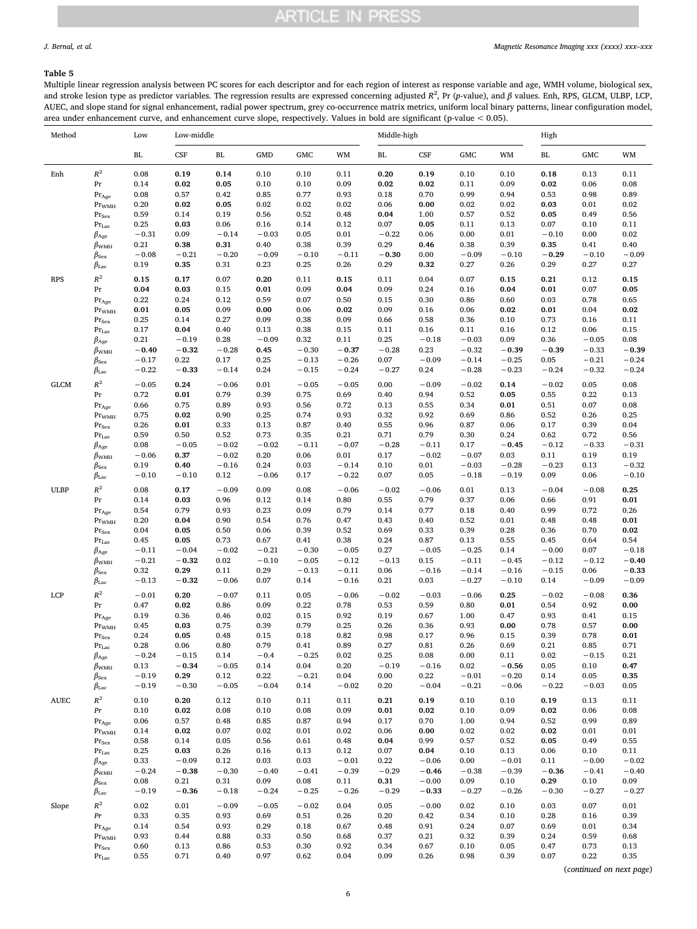# **ARTICLE IN PRESS**

### J. Bernal, et al. *Magnetic Resonance Imaging xxx (xxxx) xxx–xxx*

### <span id="page-6-0"></span>Table 5

Multiple linear regression analysis between PC scores for each descriptor and for each region of interest as response variable and age, WMH volume, biological sex, and stroke lesion type as predictor variables. The regression results are expressed concerning adjusted  $R^2$ , Pr (p-value), and  $\beta$  values. Enh, RPS, GLCM, ULBP, LCP, AUEC, and slope stand for signal enhancement, radial power spectrum, grey co-occurrence matrix metrics, uniform local binary patterns, linear configuration model, area under enhancement curve, and enhancement curve slope, respectively. Values in bold are significant (p-value < 0.05).

| Method      |                                           | Low                | Low-middle                  |                 |                 |                 |                 | Middle-high  |                 |                    |                    | High            |                 |              |
|-------------|-------------------------------------------|--------------------|-----------------------------|-----------------|-----------------|-----------------|-----------------|--------------|-----------------|--------------------|--------------------|-----------------|-----------------|--------------|
|             |                                           | BL                 | $\ensuremath{\mathsf{CSF}}$ | BL.             | <b>GMD</b>      | <b>GMC</b>      | WM              | BL           | CSF             | GMC                | <b>WM</b>          | BL.             | GMC             | WM           |
| Enh         | $\mathbb{R}^2$                            | 0.08               | 0.19                        | 0.14            | 0.10            | 0.10            | 0.11            | 0.20         | 0.19            | 0.10               | 0.10               | 0.18            | 0.13            | 0.11         |
|             | Pr                                        | 0.14               | 0.02                        | 0.05            | 0.10            | 0.10            | 0.09            | 0.02         | 0.02            | 0.11               | 0.09               | 0.02            | 0.06            | 0.08         |
|             | $\Pr_{\text{Age}}$                        | 0.08               | 0.57                        | 0.42            | 0.85            | 0.77            | 0.93            | 0.18         | 0.70            | 0.99               | 0.94               | 0.53            | 0.98            | 0.89         |
|             | Pr <sub>WH</sub>                          | 0.20               | 0.02                        | 0.05            | 0.02            | 0.02            | 0.02            | 0.06         | 0.00            | 0.02               | 0.02               | 0.03            | 0.01            | 0.02         |
|             | $Pr_{Sex}$                                | 0.59               | 0.14                        | 0.19            | 0.56            | 0.52            | 0.48            | 0.04         | 1.00            | 0.57               | 0.52               | 0.05            | 0.49            | 0.56         |
|             | $Pr_{Lac}$                                | 0.25               | 0.03                        | 0.06            | 0.16            | 0.14            | 0.12            | 0.07         | 0.05            | 0.11               | 0.13               | 0.07            | 0.10            | 0.11         |
|             | $\beta_{\text{Age}}$                      | $-0.31$            | 0.09                        | $-0.14$         | $-0.03$         | 0.05            | 0.01            | $-0.22$      | 0.06            | 0.00               | 0.01               | $-0.10$         | 0.00            | 0.02         |
|             | $\beta_{\rm WMH}$                         | 0.21               | 0.38                        | 0.31            | 0.40            | 0.38            | 0.39            | 0.29         | 0.46            | 0.38               | 0.39               | 0.35            | 0.41            | 0.40         |
|             | $\beta_{\text{Sex}}$                      | $-0.08$            | $-0.21$                     | $-0.20$         | $-0.09$         | $-0.10$         | $-0.11$         | $-0.30$      | 0.00            | $-0.09$            | $-0.10$            | $-0.29$         | $-0.10$         | $-0.09$      |
|             | $\beta_{\rm Lac}$                         | 0.19               | 0.35                        | 0.31            | 0.23            | 0.25            | 0.26            | 0.29         | 0.32            | 0.27               | 0.26               | 0.29            | 0.27            | 0.27         |
| <b>RPS</b>  | $\mathbb{R}^2$                            | 0.15               | 0.17                        | 0.07            | 0.20            | 0.11            | 0.15            | 0.11         | 0.04            | 0.07               | 0.15               | 0.21            | 0.12            | 0.15         |
|             | Pr                                        | 0.04               | 0.03                        | 0.15            | 0.01            | 0.09            | 0.04            | 0.09         | 0.24            | 0.16               | 0.04               | 0.01            | 0.07            | 0.05         |
|             | $\Pr_{\text{Age}}$                        | 0.22               | 0.24                        | 0.12            | 0.59            | 0.07            | 0.50            | 0.15         | 0.30            | 0.86               | 0.60               | 0.03            | 0.78            | 0.65         |
|             | Pr <sub>WMH</sub>                         | 0.01               | 0.05                        | 0.09            | 0.00            | 0.06            | 0.02            | 0.09         | 0.16            | 0.06               | 0.02               | 0.01            | 0.04            | 0.02         |
|             | $Pr_{Sex}$                                | 0.25               | 0.14                        | 0.27            | 0.09            | 0.38            | 0.09            | 0.66         | 0.58            | 0.36               | 0.10               | 0.73            | 0.16            | 0.11         |
|             | $Pr_{Lac}$                                | 0.17               | 0.04                        | 0.40            | 0.13            | 0.38            | 0.15            | 0.11         | 0.16            | 0.11               | 0.16               | 0.12            | 0.06            | 0.15         |
|             | $\beta_{\text{Age}}$                      | 0.21               | $-0.19$                     | 0.28            | $-0.09$         | 0.32            | 0.11            | 0.25         | $-0.18$         | $-0.03$            | 0.09               | 0.36            | $-0.05$         | 0.08         |
|             | $\beta_{\rm WMH}$                         | $-0.40$            | $-0.32$                     | $-0.28$         | 0.45            | $-0.30$         | $-0.37$         | $-0.28$      | 0.23            | $-0.32$            | $-0.39$            | $-0.39$         | $-0.33$         | $-0.39$      |
|             | $\beta_{\text{Sex}}$                      | $-0.17$            | 0.22                        | 0.17            | 0.25            | $-0.13$         | $-0.26$         | 0.07         | $-0.09$         | $-0.14$            | $-0.25$            | 0.05            | $-0.21$         | $-0.24$      |
|             | $\beta_{\rm Lac}$                         | $-0.22$            | $-0.33$                     | $-0.14$         | 0.24            | $-0.15$         | $-0.24$         | $-0.27$      | 0.24            | $-0.28$            | $-0.23$            | $-0.24$         | $-0.32$         | $-0.24$      |
| <b>GLCM</b> | $\mathbb{R}^2$                            | $-0.05$            | 0.24                        | $-0.06$         | 0.01            | $-0.05$         | $-0.05$         | 0.00         | $-0.09$         | $-0.02$            | 0.14               | $-0.02$         | 0.05            | 0.08         |
|             | Pr                                        | 0.72               | 0.01                        | 0.79            | 0.39            | 0.75            | 0.69            | 0.40         | 0.94            | 0.52               | 0.05               | 0.55            | 0.22            | 0.13         |
|             | $\Pr_{\text{Age}}$                        | 0.66               | 0.75                        | 0.89            | 0.93            | 0.56            | 0.72            | 0.13         | 0.55            | 0.34               | 0.01               | 0.51            | 0.07            | 0.08         |
|             | Pr <sub>WMH</sub>                         | 0.75               | 0.02                        | 0.90            | 0.25            | 0.74            | 0.93            | 0.32         | 0.92            | 0.69               | 0.86               | 0.52            | 0.26            | 0.25         |
|             | $\Pr_{\text{Sex}}$                        | 0.26               | 0.01                        | 0.33            | 0.13            | 0.87            | 0.40            | 0.55         | 0.96            | 0.87               | 0.06               | 0.17            | 0.39            | 0.04         |
|             | $Pr_{Lac}$                                | 0.59               | 0.50                        | 0.52            | 0.73            | 0.35            | 0.21            | 0.71         | 0.79            | 0.30               | 0.24               | 0.62            | 0.72            | 0.56         |
|             | $\beta_{\text{Age}}$                      | 0.08               | $-0.05$                     | $-0.02$         | $-0.02$         | $-0.11$         | $-0.07$         | $-0.28$      | $-0.11$         | 0.17               | $-0.45$            | $-0.12$         | $-0.33$         | $-0.31$      |
|             | $\beta_{\rm WMH}$                         | $-0.06$            | 0.37                        | $-0.02$         | 0.20            | 0.06            | 0.01            | 0.17         | $-0.02$         | $-0.07$            | 0.03               | 0.11            | 0.19            | 0.19         |
|             | $\beta_{\text{Sex}}$                      | 0.19               | 0.40                        | $-0.16$         | 0.24            | 0.03            | $-0.14$         | 0.10         | 0.01            | $-0.03$            | $-0.28$            | $-0.23$         | 0.13            | $-0.32$      |
|             | $\beta_{\rm Lac}$                         | $-0.10$            | $-0.10$                     | 0.12            | $-0.06$         | 0.17            | $-0.22$         | 0.07         | 0.05            | $-0.18$            | $-0.19$            | 0.09            | 0.06            | $-0.10$      |
| <b>ULBP</b> | $\mathbb{R}^2$                            | 0.08               | 0.17                        | $-0.09$         | 0.09            | 0.08            | $-0.06$         | $-0.02$      | $-0.06$         | 0.01               | 0.13               | $-0.04$         | $-0.08$         | 0.25         |
|             | Pr                                        | 0.14               | 0.03                        | 0.96            | 0.12            | 0.14            | 0.80            | 0.55         | 0.79            | 0.37               | 0.06               | 0.66            | 0.91            | 0.01         |
|             | $\Pr_{\text{Age}}$                        | 0.54               | 0.79                        | 0.93            | 0.23            | 0.09            | 0.79            | 0.14         | 0.77            | 0.18               | 0.40               | 0.99            | 0.72            | 0.26         |
|             | Pr <sub>WMH</sub>                         | 0.20               | 0.04                        | 0.90            | 0.54            | 0.76            | 0.47            | 0.43         | 0.40            | 0.52               | 0.01               | 0.48            | 0.48            | 0.01         |
|             | $\Pr_{Sex}$                               | 0.04               | 0.05                        | 0.50            | 0.06            | 0.39            | 0.52            | 0.69         | 0.33            | 0.39               | $0.28\,$           | 0.36            | 0.70            | 0.02         |
|             | $Pr_{Lac}$                                | 0.45               | 0.05                        | 0.73            | 0.67            | 0.41            | 0.38            | 0.24         | 0.87            | 0.13               | 0.55               | 0.45            | 0.64            | 0.54         |
|             | $\beta_{\text{Age}}$                      | $-0.11$            | $-0.04$                     | $-0.02$         | $-0.21$         | $-0.30$         | $-0.05$         | 0.27         | $-0.05$         | $-0.25$            | 0.14               | $-0.00$         | 0.07            | $-0.18$      |
|             | $\beta_{\rm WMH}$                         | $-0.21$            | $-0.32$                     | 0.02            | $-0.10$         | $-0.05$         | $-0.12$         | $-0.13$      | 0.15            | $-0.11$            | $-0.45$            | $-0.12$         | $-0.12$         | $-0.40$      |
|             | $\beta_{\text{Sex}}$                      | 0.32               | 0.29                        | 0.11            | 0.29            | $-0.13$         | $-0.11$         | 0.06         | $-0.16$         | $-0.14$            | $-0.16$            | $-0.15$         | 0.06            | $-0.33$      |
|             | $\beta_{\rm Lac}$                         | $-0.13$            | $-0.32$                     | $-0.06$         | 0.07            | 0.14            | $-0.16$         | 0.21         | 0.03            | $-0.27$            | $-0.10$            | 0.14            | $-0.09$         | $-0.09$      |
| LCP         | $R^2$                                     | $-0.01$            | 0.20                        | $-0.07$         | 0.11            | 0.05            | $-0.06$         | $-0.02$      | $-0.03$         | $-0.06$            | 0.25               | $-0.02$         | $-0.08$         | 0.36         |
|             | Pr                                        | 0.47               | 0.02                        | 0.86            | 0.09            | 0.22            | 0.78            | 0.53         | 0.59            | 0.80               | 0.01               | 0.54            | 0.92            | 0.00         |
|             | $Pr_{Age}$                                | 0.19               | 0.36                        | 0.46            | 0.02            | 0.15            | 0.92            | 0.19         | 0.67            | 1.00               | 0.47               | 0.93            | 0.41            | 0.15         |
|             | Pr <sub>wMH</sub>                         | 0.45               | 0.03                        | 0.75            | 0.39            | 0.79            | 0.25            | 0.26         | 0.36            | 0.93               | 0.00               | 0.78            | 0.57            | 0.00         |
|             | $Pr_{Sex}$                                | 0.24               | 0.05                        | 0.48            | 0.15            | 0.18            | 0.82            | 0.98         | 0.17            | 0.96               | 0.15               | 0.39            | 0.78            | 0.01         |
|             | $Pr_{Lac}$                                | 0.28               | 0.06                        | 0.80            | 0.79            | 0.41            | 0.89            | 0.27         | 0.81            | 0.26               | 0.69               | 0.21            | 0.85            | 0.71         |
|             | $\beta_{\text{Age}}$                      | $-0.24$            | $-0.15$                     | 0.14            | $-0.4$          | $-0.25$         | 0.02            | 0.25         | 0.08            | 0.00               | 0.11               | 0.02            | $-0.15$         | 0.21         |
|             | $\beta_{\rm WMH}$                         | 0.13               | $-0.34$                     | $-0.05$         | 0.14            | 0.04            | 0.20            | $-0.19$      | $-0.16$         | 0.02               | $-0.56$            | 0.05            | 0.10            | 0.47         |
|             | $\beta_{\text{Sex}}$<br>$\beta_{\rm Lac}$ | $-0.19$<br>$-0.19$ | 0.29<br>$-0.30$             | 0.12<br>$-0.05$ | 0.22<br>$-0.04$ | $-0.21$<br>0.14 | 0.04<br>$-0.02$ | 0.00<br>0.20 | 0.22<br>$-0.04$ | $-0.01$<br>$-0.21$ | $-0.20$<br>$-0.06$ | 0.14<br>$-0.22$ | 0.05<br>$-0.03$ | 0.35<br>0.05 |
| <b>AUEC</b> | $\mathbb{R}^2$                            |                    | 0.20                        |                 | 0.10            | 0.11            |                 |              | 0.19            |                    | 0.10               |                 |                 |              |
|             | Pr                                        | 0.10               | 0.02                        | 0.12<br>0.08    | 0.10            | 0.08            | 0.11<br>0.09    | 0.21         | 0.02            | 0.10               | 0.09               | 0.19<br>0.02    | 0.13<br>0.06    | 0.11<br>0.08 |
|             |                                           | 0.10               | 0.57                        | 0.48            | 0.85            | 0.87            | 0.94            | 0.01<br>0.17 | 0.70            | 0.10<br>1.00       | 0.94               | 0.52            | 0.99            | 0.89         |
|             | Pr <sub>Age</sub>                         | 0.06               |                             |                 |                 |                 |                 |              | 0.00            |                    |                    |                 |                 |              |
|             | Pr <sub>WMH</sub>                         | 0.14               | 0.02                        | 0.07            | 0.02            | 0.01            | 0.02            | 0.06         |                 | 0.02               | 0.02               | 0.02            | 0.01            | 0.01         |
|             | $Pr_{Sex}$                                | 0.58               | 0.14                        | 0.05            | 0.56            | 0.61            | 0.48            | 0.04         | 0.99            | 0.57               | 0.52               | 0.05            | 0.49            | 0.55         |
|             | $Pr_{Lac}$                                | 0.25               | 0.03                        | 0.26            | 0.16            | 0.13            | 0.12            | 0.07         | 0.04            | 0.10               | 0.13               | 0.06            | 0.10            | 0.11         |
|             | $\beta_{\text{Age}}$                      | 0.33               | $-0.09$                     | 0.12            | 0.03            | 0.03            | $-0.01$         | 0.22         | $-0.06$         | 0.00               | $-0.01$            | 0.11            | $-0.00$         | $-0.02$      |
|             | $\beta_{\rm WMH}$                         | $-0.24$            | $-0.38$                     | $-0.30$         | $-0.40$         | $-0.41$         | $-0.39$         | $-0.29$      | $-0.46$         | $-0.38$            | $-0.39$            | $-0.36$         | $-0.41$         | $-0.40$      |
|             | $\beta_{\text{Sex}}$                      | 0.08               | 0.21                        | 0.31            | 0.09            | 0.08            | 0.11            | 0.31         | $-0.00$         | 0.09               | 0.10               | 0.29            | 0.10            | 0.09         |
|             | $\beta_{\rm Lac}$                         | $-0.19$            | $-0.36$                     | $-0.18$         | $-0.24$         | $-0.25$         | $-0.26$         | $-0.29$      | $-0.33$         | $-0.27$            | $-0.26$            | $-0.30$         | $-0.27$         | $-0.27$      |
| Slope       | $\mathbb{R}^2$                            | 0.02               | 0.01                        | $-0.09$         | $-0.05$         | $-0.02$         | 0.04            | 0.05         | $-0.00$         | 0.02               | 0.10               | 0.03            | 0.07            | 0.01         |
|             | Pr                                        | 0.33               | 0.35                        | 0.93            | 0.69            | 0.51            | 0.26            | 0.20         | 0.42            | 0.34               | 0.10               | 0.28            | 0.16            | 0.39         |
|             | $\Pr_{Age}$                               | 0.14               | 0.54                        | 0.93            | 0.29            | 0.18            | 0.67            | 0.48         | 0.91            | 0.24               | 0.07               | 0.69            | 0.01            | 0.34         |
|             | Pr <sub>WHH</sub>                         | 0.93               | 0.44                        | 0.88            | 0.33            | 0.50            | 0.68            | 0.37         | 0.21            | 0.32               | 0.39               | 0.24            | 0.59            | 0.68         |
|             | $Pr_{Sex}$                                | 0.60               | 0.13                        | 0.86            | 0.53            | 0.30            | 0.92            | 0.34         | 0.67            | 0.10               | 0.05               | 0.47            | 0.73            | 0.13         |
|             | $Pr_{Lac}$                                | 0.55               | 0.71                        | 0.40            | 0.97            | 0.62            | 0.04            | 0.09         | 0.26            | 0.98               | 0.39               | 0.07            | 0.22            | 0.35         |

(continued on next page)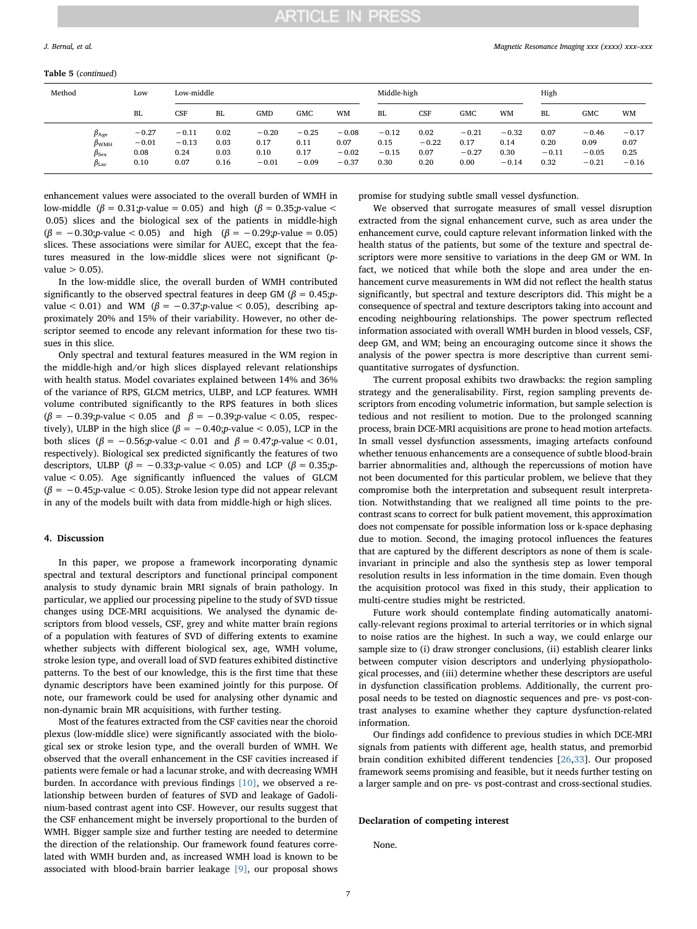#### Table 5 (continued)

| Method |                                                                                        | Low                                |                                    | Low-middle                   |                                    |                                    |                                       | Middle-high                        |                                 |                                    |                                    | High                            |                                       |                                    |
|--------|----------------------------------------------------------------------------------------|------------------------------------|------------------------------------|------------------------------|------------------------------------|------------------------------------|---------------------------------------|------------------------------------|---------------------------------|------------------------------------|------------------------------------|---------------------------------|---------------------------------------|------------------------------------|
|        |                                                                                        | BL                                 | CSF                                | BL                           | <b>GMD</b>                         | GMC                                | WM                                    | <b>BL</b>                          | <b>CSF</b>                      | <b>GMC</b>                         | <b>WM</b>                          | <b>BL</b>                       | GMC                                   | <b>WM</b>                          |
|        | $\beta_{\text{Age}}$<br>$\beta_{\rm WMH}$<br>$\beta_{\text{Sex}}$<br>$\beta_{\rm Lac}$ | $-0.27$<br>$-0.01$<br>0.08<br>0.10 | $-0.11$<br>$-0.13$<br>0.24<br>0.07 | 0.02<br>0.03<br>0.03<br>0.16 | $-0.20$<br>0.17<br>0.10<br>$-0.01$ | $-0.25$<br>0.11<br>0.17<br>$-0.09$ | $-0.08$<br>0.07<br>$-0.02$<br>$-0.37$ | $-0.12$<br>0.15<br>$-0.15$<br>0.30 | 0.02<br>$-0.22$<br>0.07<br>0.20 | $-0.21$<br>0.17<br>$-0.27$<br>0.00 | $-0.32$<br>0.14<br>0.30<br>$-0.14$ | 0.07<br>0.20<br>$-0.11$<br>0.32 | $-0.46$<br>0.09<br>$-0.05$<br>$-0.21$ | $-0.17$<br>0.07<br>0.25<br>$-0.16$ |

enhancement values were associated to the overall burden of WMH in low-middle ( $\beta = 0.31$ ; *p*-value = 0.05) and high ( $\beta = 0.35$ ; *p*-value < 0.05) slices and the biological sex of the patients in middle-high  $(\beta = -0.30; p\text{-value} < 0.05)$  and high  $(\beta = -0.29; p\text{-value} = 0.05)$ slices. These associations were similar for AUEC, except that the features measured in the low-middle slices were not significant (pvalue  $> 0.05$ ).

In the low-middle slice, the overall burden of WMH contributed significantly to the observed spectral features in deep GM ( $\beta = 0.45$ ;*p*value < 0.01) and WM ( $\beta$  = -0.37;*p*-value < 0.05), describing approximately 20% and 15% of their variability. However, no other descriptor seemed to encode any relevant information for these two tissues in this slice.

Only spectral and textural features measured in the WM region in the middle-high and/or high slices displayed relevant relationships with health status. Model covariates explained between 14% and 36% of the variance of RPS, GLCM metrics, ULBP, and LCP features. WMH volume contributed significantly to the RPS features in both slices  $(\beta = -0.39;p$ -value < 0.05 and  $\beta = -0.39;p$ -value < 0.05, respectively), ULBP in the high slice ( $\beta = -0.40$ ;*p*-value < 0.05), LCP in the both slices ( $\beta = -0.56$ ; *p*-value < 0.01 and  $\beta = 0.47$ ; *p*-value < 0.01, respectively). Biological sex predicted significantly the features of two descriptors, ULBP ( $\beta$  = -0.33;p-value < 0.05) and LCP ( $\beta$  = 0.35;pvalue < 0.05). Age significantly influenced the values of GLCM  $(\beta = -0.45;p$ -value < 0.05). Stroke lesion type did not appear relevant in any of the models built with data from middle-high or high slices.

#### 4. Discussion

In this paper, we propose a framework incorporating dynamic spectral and textural descriptors and functional principal component analysis to study dynamic brain MRI signals of brain pathology. In particular, we applied our processing pipeline to the study of SVD tissue changes using DCE-MRI acquisitions. We analysed the dynamic descriptors from blood vessels, CSF, grey and white matter brain regions of a population with features of SVD of differing extents to examine whether subjects with different biological sex, age, WMH volume, stroke lesion type, and overall load of SVD features exhibited distinctive patterns. To the best of our knowledge, this is the first time that these dynamic descriptors have been examined jointly for this purpose. Of note, our framework could be used for analysing other dynamic and non-dynamic brain MR acquisitions, with further testing.

Most of the features extracted from the CSF cavities near the choroid plexus (low-middle slice) were significantly associated with the biological sex or stroke lesion type, and the overall burden of WMH. We observed that the overall enhancement in the CSF cavities increased if patients were female or had a lacunar stroke, and with decreasing WMH burden. In accordance with previous findings [\[10\]](#page-8-5), we observed a relationship between burden of features of SVD and leakage of Gadolinium-based contrast agent into CSF. However, our results suggest that the CSF enhancement might be inversely proportional to the burden of WMH. Bigger sample size and further testing are needed to determine the direction of the relationship. Our framework found features correlated with WMH burden and, as increased WMH load is known to be associated with blood-brain barrier leakage [\[9\]](#page-8-28), our proposal shows

promise for studying subtle small vessel dysfunction.

We observed that surrogate measures of small vessel disruption extracted from the signal enhancement curve, such as area under the enhancement curve, could capture relevant information linked with the health status of the patients, but some of the texture and spectral descriptors were more sensitive to variations in the deep GM or WM. In fact, we noticed that while both the slope and area under the enhancement curve measurements in WM did not reflect the health status significantly, but spectral and texture descriptors did. This might be a consequence of spectral and texture descriptors taking into account and encoding neighbouring relationships. The power spectrum reflected information associated with overall WMH burden in blood vessels, CSF, deep GM, and WM; being an encouraging outcome since it shows the analysis of the power spectra is more descriptive than current semiquantitative surrogates of dysfunction.

The current proposal exhibits two drawbacks: the region sampling strategy and the generalisability. First, region sampling prevents descriptors from encoding volumetric information, but sample selection is tedious and not resilient to motion. Due to the prolonged scanning process, brain DCE-MRI acquisitions are prone to head motion artefacts. In small vessel dysfunction assessments, imaging artefacts confound whether tenuous enhancements are a consequence of subtle blood-brain barrier abnormalities and, although the repercussions of motion have not been documented for this particular problem, we believe that they compromise both the interpretation and subsequent result interpretation. Notwithstanding that we realigned all time points to the precontrast scans to correct for bulk patient movement, this approximation does not compensate for possible information loss or k-space dephasing due to motion. Second, the imaging protocol influences the features that are captured by the different descriptors as none of them is scaleinvariant in principle and also the synthesis step as lower temporal resolution results in less information in the time domain. Even though the acquisition protocol was fixed in this study, their application to multi-centre studies might be restricted.

Future work should contemplate finding automatically anatomically-relevant regions proximal to arterial territories or in which signal to noise ratios are the highest. In such a way, we could enlarge our sample size to (i) draw stronger conclusions, (ii) establish clearer links between computer vision descriptors and underlying physiopathological processes, and (iii) determine whether these descriptors are useful in dysfunction classification problems. Additionally, the current proposal needs to be tested on diagnostic sequences and pre- vs post-contrast analyses to examine whether they capture dysfunction-related information.

Our findings add confidence to previous studies in which DCE-MRI signals from patients with different age, health status, and premorbid brain condition exhibited different tendencies [\[26](#page-8-20),[33\]](#page-8-27). Our proposed framework seems promising and feasible, but it needs further testing on a larger sample and on pre- vs post-contrast and cross-sectional studies.

#### Declaration of competing interest

None.